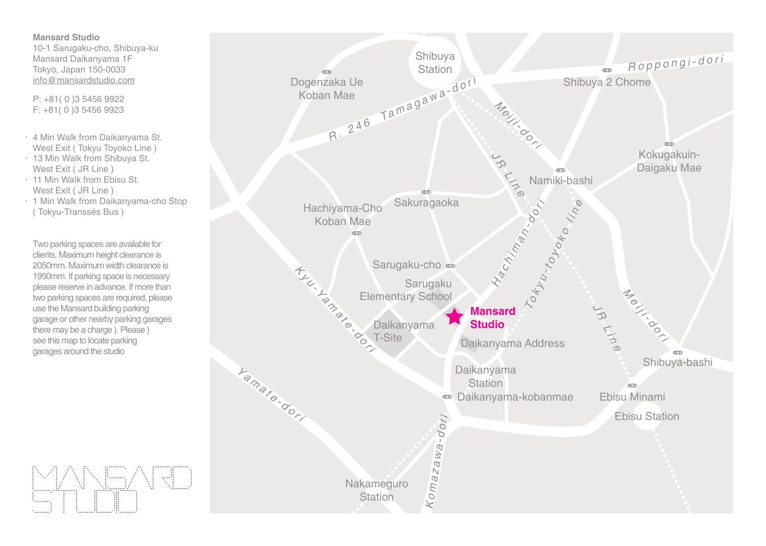**Mansard Studio** 10-1 Sarugaku-cho, Shibuya-ku Mansard Daikanyama 1F Tokyo, Japan 150-0033 info@mansardstudio.com

P: +81( 0 )3 5456 9922 F: +81( 0 )3 5456 9923

- 4 Min Walk from Daikanyama St. West Exit ( Tokyu Toyoko Line )
- 13 Min Walk from Shibuya St. West Exit ( JR Line )
- 11 Min Walk from Ebisu St. West Exit ( JR Line )
- 1 Min Walk from Daikanyama-cho Stop ( Tokyu-Transsés Bus )

Two parking spaces are available for clients. Maximum height clearance is 2050mm. Maximum width clearance is 1950mm. If parking space is necessary please reserve in advance. If more than two parking spaces are required, please use the Mansard building parking garage or other nearby parking garages there may be a charge ). Please ) see this map to locate parking garages around the studio

**NED** I